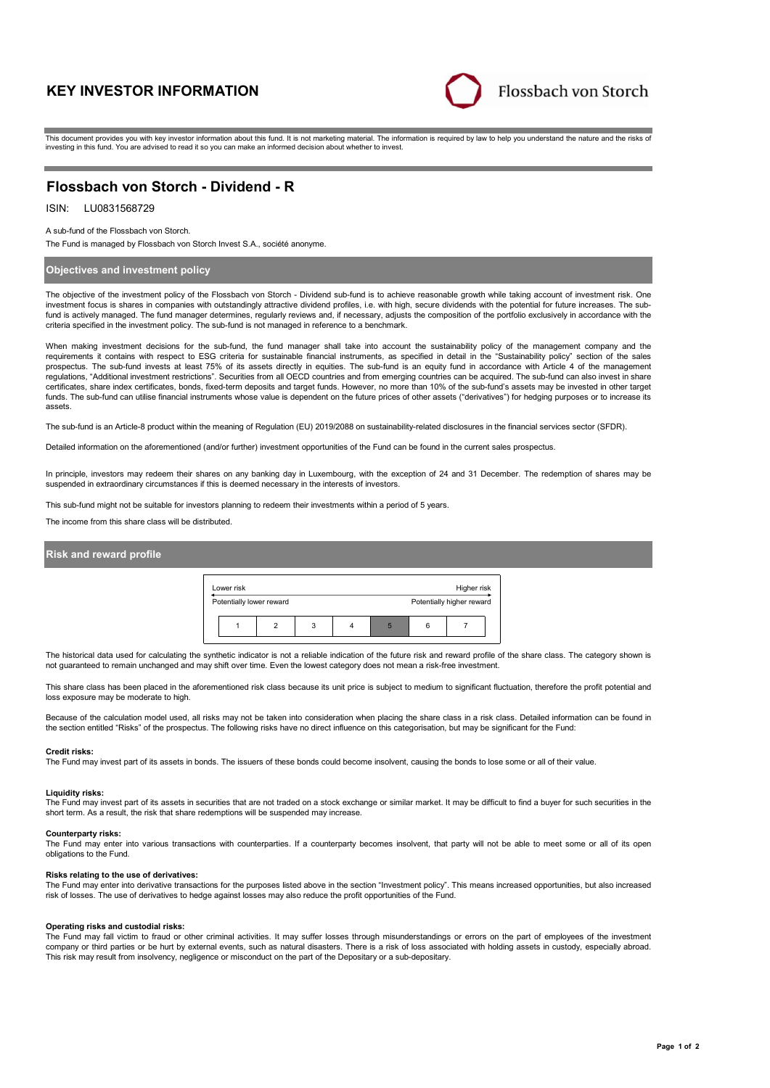# **KEY INVESTOR INFORMATION**



This document provides you with key investor information about this fund. It is not marketing material. The information is required by law to help you understand the nature and the risks of investing in this fund. You are advised to read it so you can make an informed decision about whether to invest.

# **Flossbach von Storch - Dividend - R**

## ISIN: LU0831568729

A sub-fund of the Flossbach von Storch.

The Fund is managed by Flossbach von Storch Invest S.A., société anonyme.

### **Objectives and investment policy**

The objective of the investment policy of the Flossbach von Storch - Dividend sub-fund is to achieve reasonable growth while taking account of investment risk. One investment focus is shares in companies with outstandingly attractive dividend profiles, i.e. with high, secure dividends with the potential for future increases. The subfund is actively managed. The fund manager determines, regularly reviews and, if necessary, adjusts the composition of the portfolio exclusively in accordance with the criteria specified in the investment policy. The sub-fund is not managed in reference to a benchmark.

When making investment decisions for the sub-fund, the fund manager shall take into account the sustainability policy of the management company and the requirements it contains with respect to ESG criteria for sustainable financial instruments, as specified in detail in the "Sustainability policy" section of the sales prospectus. The sub-fund invests at least 75% of its assets directly in equities. The sub-fund is an equity fund in accordance with Article 4 of the management regulations, "Additional investment restrictions". Securities from all OECD countries and from emerging countries can be acquired. The sub-fund can also invest in share certificates, share index certificates, bonds, fixed-term deposits and target funds. However, no more than 10% of the sub-fund's assets may be invested in other target funds. The sub-fund can utilise financial instruments whose value is dependent on the future prices of other assets ("derivatives") for hedging purposes or to increase its assets.

The sub-fund is an Article-8 product within the meaning of Regulation (EU) 2019/2088 on sustainability-related disclosures in the financial services sector (SFDR).

Detailed information on the aforementioned (and/or further) investment opportunities of the Fund can be found in the current sales prospectus.

In principle, investors may redeem their shares on any banking day in Luxembourg, with the exception of 24 and 31 December. The redemption of shares may be suspended in extraordinary circumstances if this is deemed necessary in the interests of investors.

This sub-fund might not be suitable for investors planning to redeem their investments within a period of 5 years.

The income from this share class will be distributed.

### **Risk and reward profile**

| Lower risk               |   |   |  |   | Higher risk               |  |
|--------------------------|---|---|--|---|---------------------------|--|
| Potentially lower reward |   |   |  |   | Potentially higher reward |  |
|                          | ົ | 3 |  | 6 |                           |  |

The historical data used for calculating the synthetic indicator is not a reliable indication of the future risk and reward profile of the share class. The category shown is not guaranteed to remain unchanged and may shift over time. Even the lowest category does not mean a risk-free investment.

This share class has been placed in the aforementioned risk class because its unit price is subject to medium to significant fluctuation, therefore the profit potential and loss exposure may be moderate to high.

Because of the calculation model used, all risks may not be taken into consideration when placing the share class in a risk class. Detailed information can be found in the section entitled "Risks" of the prospectus. The following risks have no direct influence on this categorisation, but may be significant for the Fund:

#### **Credit risks:**

The Fund may invest part of its assets in bonds. The issuers of these bonds could become insolvent, causing the bonds to lose some or all of their value.

#### **Liquidity risks:**

The Fund may invest part of its assets in securities that are not traded on a stock exchange or similar market. It may be difficult to find a buyer for such securities in the short term. As a result, the risk that share redemptions will be suspended may increase.

#### **Counterparty risks:**

The Fund may enter into various transactions with counterparties. If a counterparty becomes insolvent, that party will not be able to meet some or all of its open obligations to the Fund.

#### **Risks relating to the use of derivatives:**

The Fund may enter into derivative transactions for the purposes listed above in the section "Investment policy". This means increased opportunities, but also increased risk of losses. The use of derivatives to hedge against losses may also reduce the profit opportunities of the Fund.

#### **Operating risks and custodial risks:**

The Fund may fall victim to fraud or other criminal activities. It may suffer losses through misunderstandings or errors on the part of employees of the investment company or third parties or be hurt by external events, such as natural disasters. There is a risk of loss associated with holding assets in custody, especially abroad. This risk may result from insolvency, negligence or misconduct on the part of the Depositary or a sub-depositary.